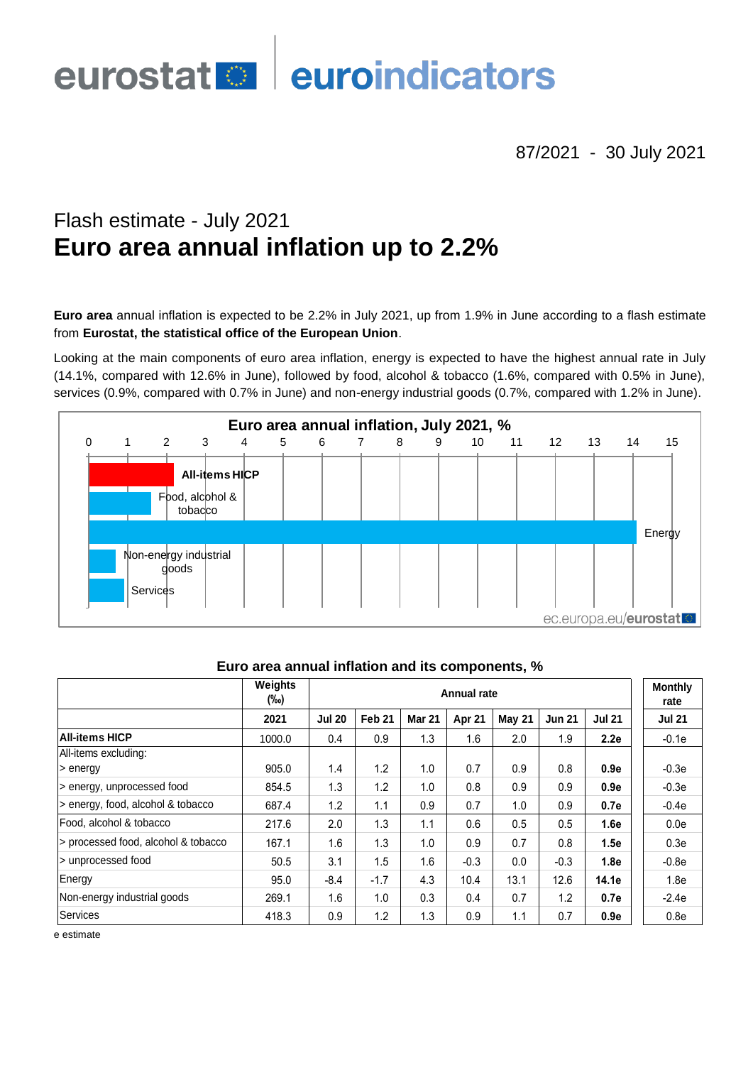# euroindicators eurostat<sup>o</sup>

87/2021 - 30 July 2021

# Flash estimate - July 2021 **Euro area annual inflation up to 2.2%**

**Euro area** annual inflation is expected to be 2.2% in July 2021, up from 1.9% in June according to a flash estimate from **Eurostat, the statistical office of the European Union**.

Looking at the main components of euro area inflation, energy is expected to have the highest annual rate in July (14.1%, compared with 12.6% in June), followed by food, alcohol & tobacco (1.6%, compared with 0.5% in June), services (0.9%, compared with 0.7% in June) and non-energy industrial goods (0.7%, compared with 1.2% in June).



|                                     | Weights<br>(‰) | <b>Annual rate</b> |                   |               |        |        |               |               | <b>Monthly</b><br>rate |
|-------------------------------------|----------------|--------------------|-------------------|---------------|--------|--------|---------------|---------------|------------------------|
|                                     | 2021           | <b>Jul 20</b>      | Feb <sub>21</sub> | <b>Mar 21</b> | Apr 21 | May 21 | <b>Jun 21</b> | <b>Jul 21</b> | <b>Jul 21</b>          |
| <b>All-items HICP</b>               | 1000.0         | 0.4                | 0.9               | 1.3           | 1.6    | 2.0    | 1.9           | 2.2e          | $-0.1e$                |
| All-items excluding:                |                |                    |                   |               |        |        |               |               |                        |
| > energy                            | 905.0          | 1.4                | 1.2               | 1.0           | 0.7    | 0.9    | 0.8           | 0.9e          | $-0.3e$                |
| > energy, unprocessed food          | 854.5          | 1.3                | 1.2               | 1.0           | 0.8    | 0.9    | 0.9           | 0.9e          | $-0.3e$                |
| > energy, food, alcohol & tobacco   | 687.4          | 1.2                | 1.1               | 0.9           | 0.7    | 1.0    | 0.9           | 0.7e          | $-0.4e$                |
| l Food. alcohol & tobacco           | 217.6          | 2.0                | 1.3               | 1.1           | 0.6    | 0.5    | 0.5           | 1.6e          | 0.0e                   |
| > processed food, alcohol & tobacco | 167.1          | 1.6                | 1.3               | 1.0           | 0.9    | 0.7    | 0.8           | 1.5e          | 0.3 <sub>e</sub>       |
| > unprocessed food                  | 50.5           | 3.1                | 1.5               | 1.6           | $-0.3$ | 0.0    | $-0.3$        | 1.8e          | $-0.8e$                |
| Energy                              | 95.0           | $-8.4$             | $-1.7$            | 4.3           | 10.4   | 13.1   | 12.6          | 14.1e         | 1.8 <sub>e</sub>       |
| Non-energy industrial goods         | 269.1          | 1.6                | 1.0               | 0.3           | 0.4    | 0.7    | 1.2           | 0.7e          | $-2.4e$                |
| Services                            | 418.3          | 0.9                | 1.2               | 1.3           | 0.9    | 1.1    | 0.7           | 0.9e          | 0.8 <sub>e</sub>       |

#### **Euro area annual inflation and its components, %**

e estimate